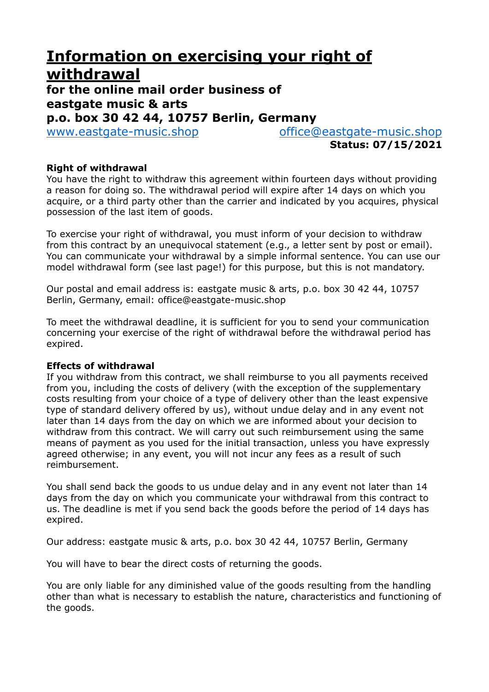# **Information on exercising your right of withdrawal**

**for the online mail order business of** 

**eastgate music & arts**

**p.o. box 30 42 44, 10757 Berlin, Germany** 

[www.eastgate-music.shop](http://www.eastgate-music.shop/) [office@eastgate-music.shop](mailto:office@eastgate-music.shop) **Status: 07/15/2021**

## **Right of withdrawal**

You have the right to withdraw this agreement within fourteen days without providing a reason for doing so. The withdrawal period will expire after 14 days on which you acquire, or a third party other than the carrier and indicated by you acquires, physical possession of the last item of goods.

To exercise your right of withdrawal, you must inform of your decision to withdraw from this contract by an unequivocal statement (e.g., a letter sent by post or email). You can communicate your withdrawal by a simple informal sentence. You can use our model withdrawal form (see last page!) for this purpose, but this is not mandatory.

Our postal and email address is: eastgate music & arts, p.o. box 30 42 44, 10757 Berlin, Germany, email: office@eastgate-music.shop

To meet the withdrawal deadline, it is sufficient for you to send your communication concerning your exercise of the right of withdrawal before the withdrawal period has expired.

#### **Effects of withdrawal**

If you withdraw from this contract, we shall reimburse to you all payments received from you, including the costs of delivery (with the exception of the supplementary costs resulting from your choice of a type of delivery other than the least expensive type of standard delivery offered by us), without undue delay and in any event not later than 14 days from the day on which we are informed about your decision to withdraw from this contract. We will carry out such reimbursement using the same means of payment as you used for the initial transaction, unless you have expressly agreed otherwise; in any event, you will not incur any fees as a result of such reimbursement.

You shall send back the goods to us undue delay and in any event not later than 14 days from the day on which you communicate your withdrawal from this contract to us. The deadline is met if you send back the goods before the period of 14 days has expired.

Our address: eastgate music & arts, p.o. box 30 42 44, 10757 Berlin, Germany

You will have to bear the direct costs of returning the goods.

You are only liable for any diminished value of the goods resulting from the handling other than what is necessary to establish the nature, characteristics and functioning of the goods.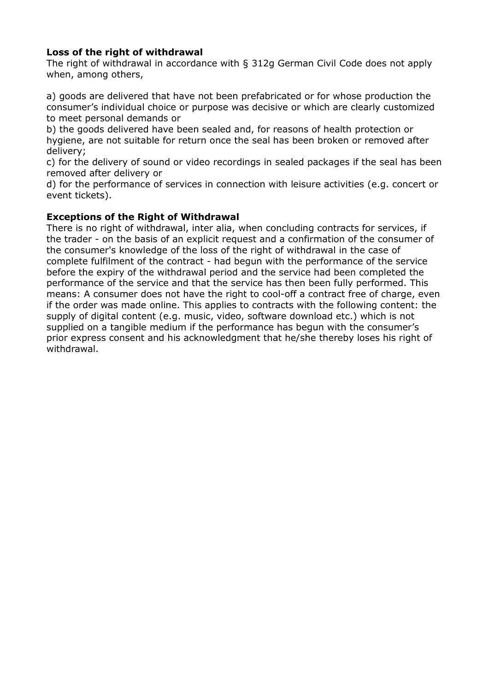### **Loss of the right of withdrawal**

The right of withdrawal in accordance with § 312g German Civil Code does not apply when, among others,

a) goods are delivered that have not been prefabricated or for whose production the consumer's individual choice or purpose was decisive or which are clearly customized to meet personal demands or

b) the goods delivered have been sealed and, for reasons of health protection or hygiene, are not suitable for return once the seal has been broken or removed after delivery;

c) for the delivery of sound or video recordings in sealed packages if the seal has been removed after delivery or

d) for the performance of services in connection with leisure activities (e.g. concert or event tickets).

#### **Exceptions of the Right of Withdrawal**

There is no right of withdrawal, inter alia, when concluding contracts for services, if the trader - on the basis of an explicit request and a confirmation of the consumer of the consumer's knowledge of the loss of the right of withdrawal in the case of complete fulfilment of the contract - had begun with the performance of the service before the expiry of the withdrawal period and the service had been completed the performance of the service and that the service has then been fully performed. This means: A consumer does not have the right to cool-off a contract free of charge, even if the order was made online. This applies to contracts with the following content: the supply of digital content (e.g. music, video, software download etc.) which is not supplied on a tangible medium if the performance has begun with the consumer's prior express consent and his acknowledgment that he/she thereby loses his right of withdrawal.